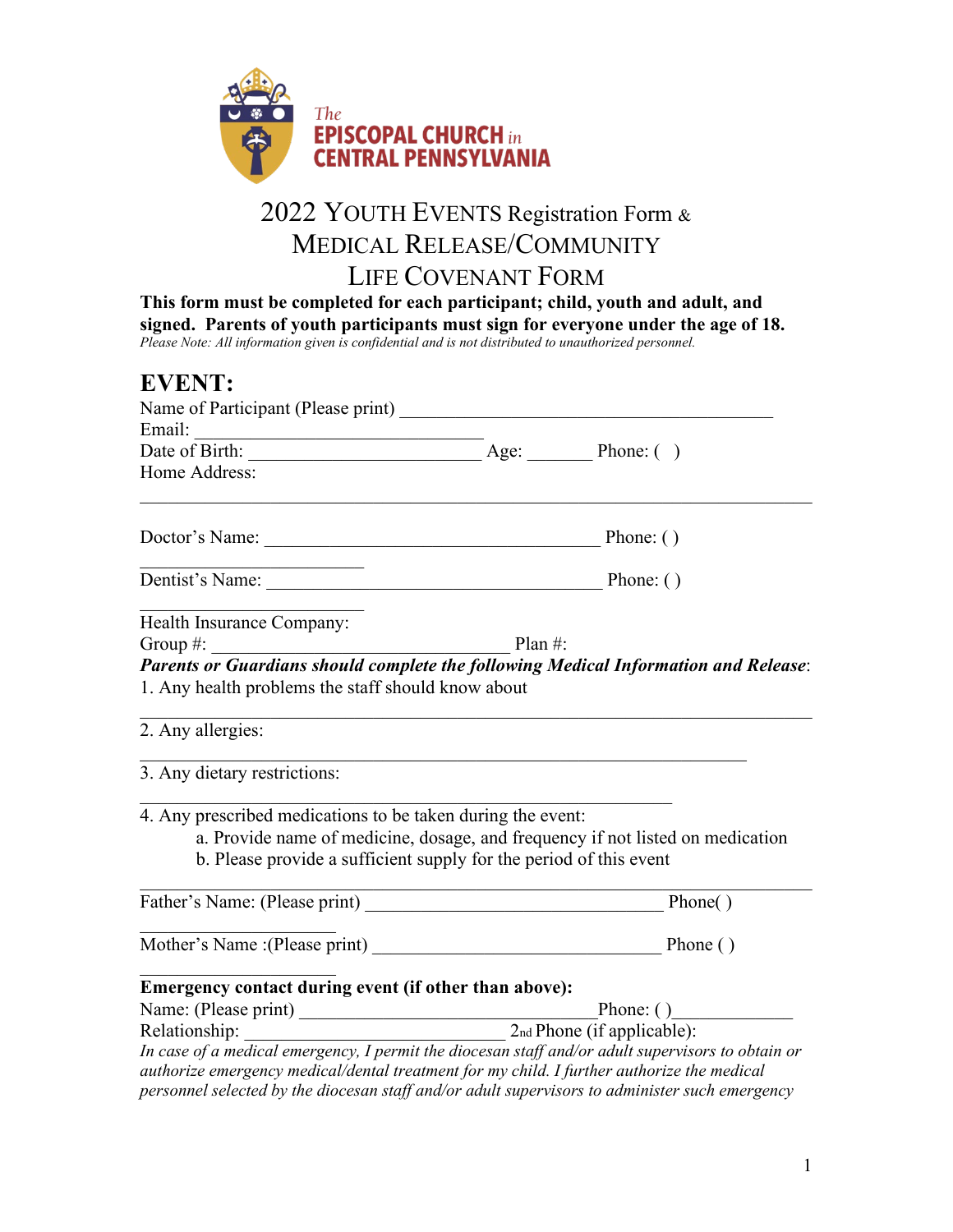

## 2022 YOUTH EVENTS Registration Form & MEDICAL RELEASE/COMMUNITY LIFE COVENANT FORM

**This form must be completed for each participant; child, youth and adult, and signed. Parents of youth participants must sign for everyone under the age of 18.** *Please Note: All information given is confidential and is not distributed to unauthorized personnel.*

| <b>EVENT:</b>                                                           |                                                                                                                                                                                                 |  |
|-------------------------------------------------------------------------|-------------------------------------------------------------------------------------------------------------------------------------------------------------------------------------------------|--|
|                                                                         |                                                                                                                                                                                                 |  |
|                                                                         | Email: Date of Birth: <u>Age:</u> Age: Phone: ()                                                                                                                                                |  |
| Home Address:                                                           |                                                                                                                                                                                                 |  |
| Doctor's Name:                                                          | Phone: $()$                                                                                                                                                                                     |  |
|                                                                         | Dentist's Name: Phone: ()                                                                                                                                                                       |  |
| Health Insurance Company:                                               |                                                                                                                                                                                                 |  |
| Group $#$ :<br>$P$ lan #:                                               | Parents or Guardians should complete the following Medical Information and Release:                                                                                                             |  |
| 1. Any health problems the staff should know about<br>2. Any allergies: |                                                                                                                                                                                                 |  |
| 3. Any dietary restrictions:                                            |                                                                                                                                                                                                 |  |
| 4. Any prescribed medications to be taken during the event:             | a. Provide name of medicine, dosage, and frequency if not listed on medication<br>b. Please provide a sufficient supply for the period of this event                                            |  |
|                                                                         | Phone()                                                                                                                                                                                         |  |
|                                                                         |                                                                                                                                                                                                 |  |
| Emergency contact during event (if other than above):                   |                                                                                                                                                                                                 |  |
|                                                                         | Phone: $( )$                                                                                                                                                                                    |  |
|                                                                         | Name: (Please print)<br>Relationship: 2nd Phone (if applicable):                                                                                                                                |  |
|                                                                         | In case of a medical emergency, I permit the diocesan staff and/or adult supervisors to obtain or<br>authorize emergency medical/dental treatment for my child. I further authorize the medical |  |

*personnel selected by the diocesan staff and/or adult supervisors to administer such emergency*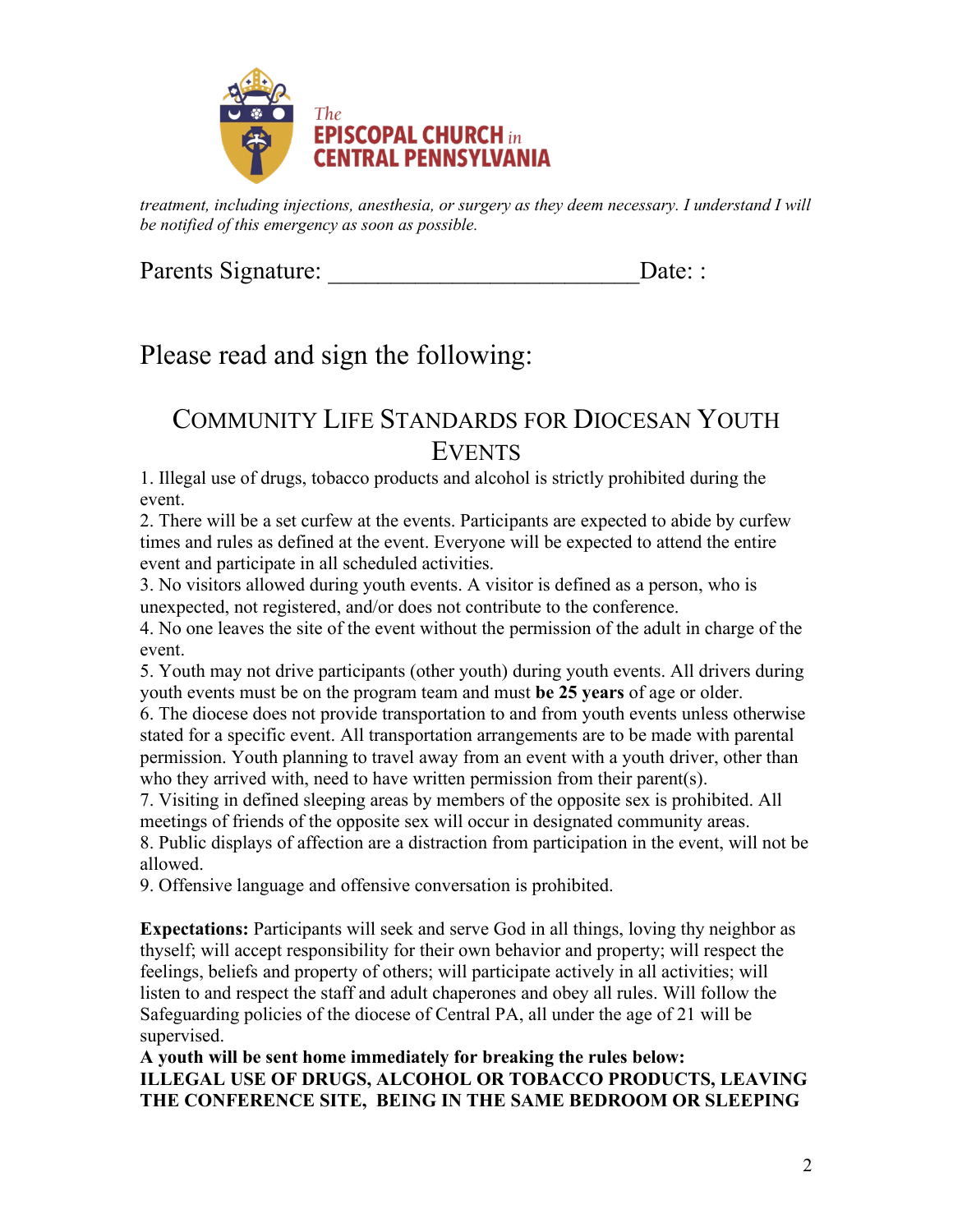

*treatment, including injections, anesthesia, or surgery as they deem necessary. I understand I will be notified of this emergency as soon as possible.*

Parents Signature: <u>Date:</u> :

# Please read and sign the following:

### COMMUNITY LIFE STANDARDS FOR DIOCESAN YOUTH EVENTS

1. Illegal use of drugs, tobacco products and alcohol is strictly prohibited during the event.

2. There will be a set curfew at the events. Participants are expected to abide by curfew times and rules as defined at the event. Everyone will be expected to attend the entire event and participate in all scheduled activities.

3. No visitors allowed during youth events. A visitor is defined as a person, who is unexpected, not registered, and/or does not contribute to the conference.

4. No one leaves the site of the event without the permission of the adult in charge of the event.

5. Youth may not drive participants (other youth) during youth events. All drivers during youth events must be on the program team and must **be 25 years** of age or older.

6. The diocese does not provide transportation to and from youth events unless otherwise stated for a specific event. All transportation arrangements are to be made with parental permission. Youth planning to travel away from an event with a youth driver, other than who they arrived with, need to have written permission from their parent(s).

7. Visiting in defined sleeping areas by members of the opposite sex is prohibited. All meetings of friends of the opposite sex will occur in designated community areas. 8. Public displays of affection are a distraction from participation in the event, will not be allowed.

9. Offensive language and offensive conversation is prohibited.

**Expectations:** Participants will seek and serve God in all things, loving thy neighbor as thyself; will accept responsibility for their own behavior and property; will respect the feelings, beliefs and property of others; will participate actively in all activities; will listen to and respect the staff and adult chaperones and obey all rules. Will follow the Safeguarding policies of the diocese of Central PA, all under the age of 21 will be supervised.

**A youth will be sent home immediately for breaking the rules below: ILLEGAL USE OF DRUGS, ALCOHOL OR TOBACCO PRODUCTS, LEAVING THE CONFERENCE SITE, BEING IN THE SAME BEDROOM OR SLEEPING**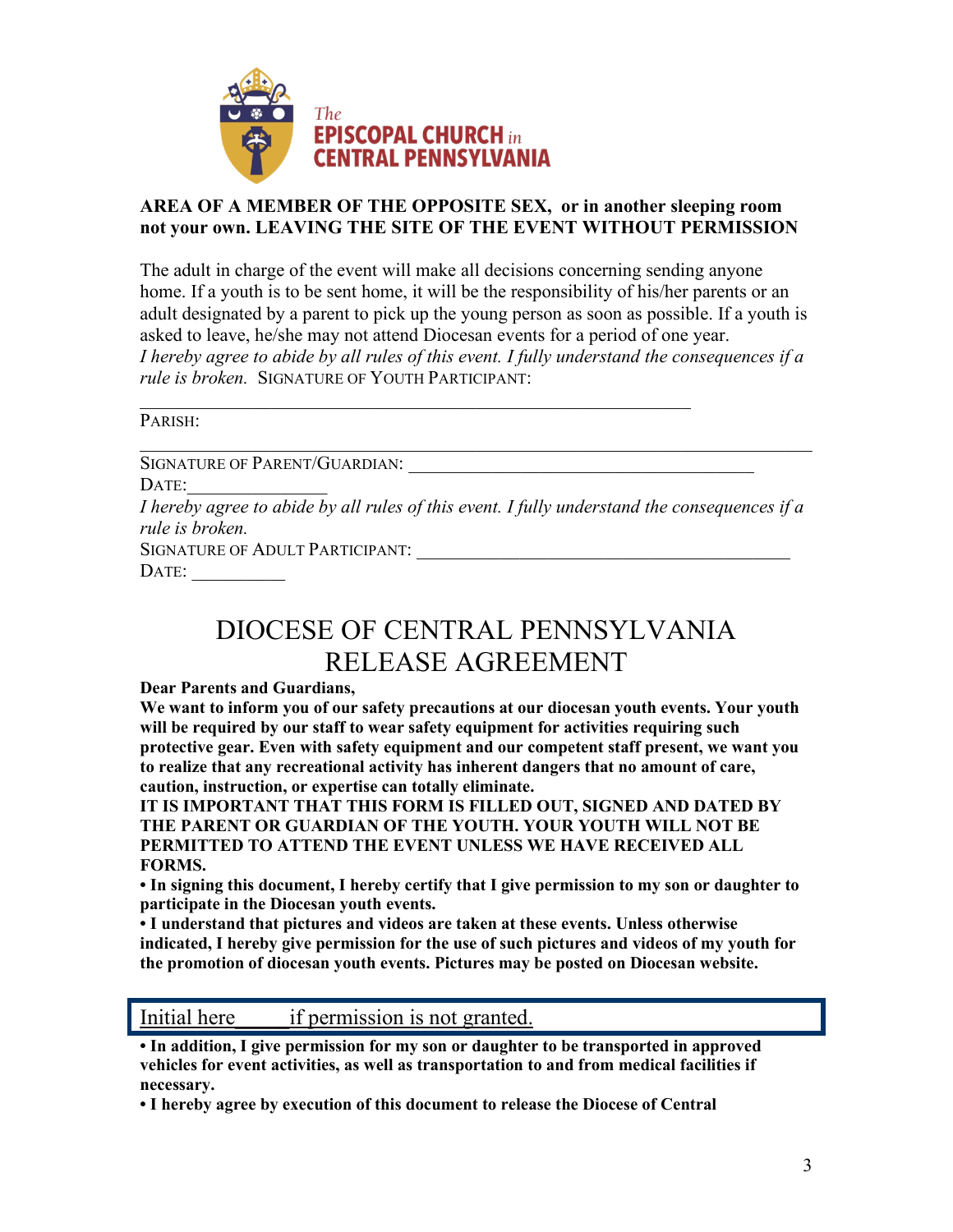

#### **AREA OF A MEMBER OF THE OPPOSITE SEX, or in another sleeping room not your own. LEAVING THE SITE OF THE EVENT WITHOUT PERMISSION**

The adult in charge of the event will make all decisions concerning sending anyone home. If a youth is to be sent home, it will be the responsibility of his/her parents or an adult designated by a parent to pick up the young person as soon as possible. If a youth is asked to leave, he/she may not attend Diocesan events for a period of one year. *I hereby agree to abide by all rules of this event. I fully understand the consequences if a rule is broken.* SIGNATURE OF YOUTH PARTICIPANT:

\_\_\_\_\_\_\_\_\_\_\_\_\_\_\_\_\_\_\_\_\_\_\_\_\_\_\_\_\_\_\_\_\_\_\_\_\_\_\_\_\_\_\_\_\_\_\_\_\_\_\_\_\_\_\_\_\_\_\_

PARISH:

SIGNATURE OF PARENT/GUARDIAN:

 $\text{DATE:}$ 

*I hereby agree to abide by all rules of this event. I fully understand the consequences if a rule is broken.*

 $\mathcal{L}_\text{G}$  , and the contribution of the contribution of the contribution of the contribution of the contribution of the contribution of the contribution of the contribution of the contribution of the contribution of t

SIGNATURE OF ADULT PARTICIPANT: DATE:

## DIOCESE OF CENTRAL PENNSYLVANIA RELEASE AGREEMENT

**Dear Parents and Guardians,**

**We want to inform you of our safety precautions at our diocesan youth events. Your youth will be required by our staff to wear safety equipment for activities requiring such protective gear. Even with safety equipment and our competent staff present, we want you to realize that any recreational activity has inherent dangers that no amount of care, caution, instruction, or expertise can totally eliminate.**

**IT IS IMPORTANT THAT THIS FORM IS FILLED OUT, SIGNED AND DATED BY THE PARENT OR GUARDIAN OF THE YOUTH. YOUR YOUTH WILL NOT BE PERMITTED TO ATTEND THE EVENT UNLESS WE HAVE RECEIVED ALL FORMS.**

**• In signing this document, I hereby certify that I give permission to my son or daughter to participate in the Diocesan youth events.**

**• I understand that pictures and videos are taken at these events. Unless otherwise indicated, I hereby give permission for the use of such pictures and videos of my youth for the promotion of diocesan youth events. Pictures may be posted on Diocesan website.** 

Initial here if permission is not granted.

**• In addition, I give permission for my son or daughter to be transported in approved vehicles for event activities, as well as transportation to and from medical facilities if necessary.**

**• I hereby agree by execution of this document to release the Diocese of Central**